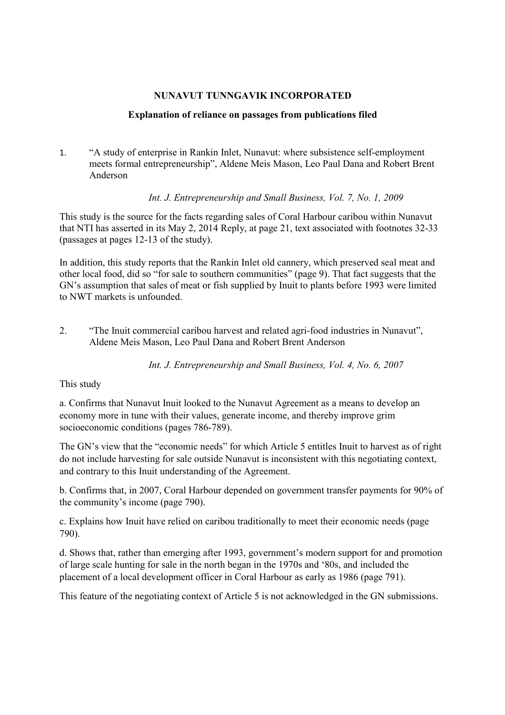## **NUNAVUT TUNNGAVIK INCORPORATED**

## **Explanation of reliance on passages from publications filed**

1. "A study of enterprise in Rankin Inlet, Nunavut: where subsistence self-employment meets formal entrepreneurship", Aldene Meis Mason, Leo Paul Dana and Robert Brent Anderson

*Int. J. Entrepreneurship and Small Business, Vol. 7, No. 1, 2009*

This study is the source for the facts regarding sales of Coral Harbour caribou within Nunavut that NTI has asserted in its May 2, 2014 Reply, at page 21, text associated with footnotes 32-33 (passages at pages 12-13 of the study).

In addition, this study reports that the Rankin Inlet old cannery, which preserved seal meat and other local food, did so "for sale to southern communities" (page 9). That fact suggests that the GN's assumption that sales of meat or fish supplied by Inuit to plants before 1993 were limited to NWT markets is unfounded.

2. "The Inuit commercial caribou harvest and related agri-food industries in Nunavut", Aldene Meis Mason, Leo Paul Dana and Robert Brent Anderson

*Int. J. Entrepreneurship and Small Business, Vol. 4, No. 6, 2007*

## This study

a. Confirms that Nunavut Inuit looked to the Nunavut Agreement as a means to develop an economy more in tune with their values, generate income, and thereby improve grim socioeconomic conditions (pages 786-789).

The GN's view that the "economic needs" for which Article 5 entitles Inuit to harvest as of right do not include harvesting for sale outside Nunavut is inconsistent with this negotiating context, and contrary to this Inuit understanding of the Agreement.

b. Confirms that, in 2007, Coral Harbour depended on government transfer payments for 90% of the community's income (page 790).

c. Explains how Inuit have relied on caribou traditionally to meet their economic needs (page 790).

d. Shows that, rather than emerging after 1993, government's modern support for and promotion of large scale hunting for sale in the north began in the 1970s and '80s, and included the placement of a local development officer in Coral Harbour as early as 1986 (page 791).

This feature of the negotiating context of Article 5 is not acknowledged in the GN submissions.